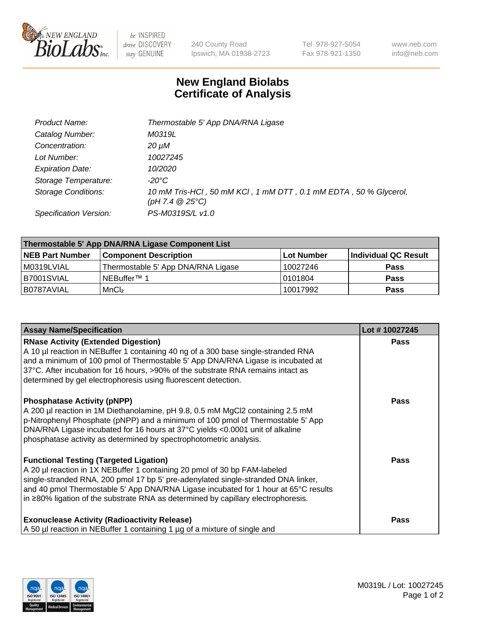

 $be$  INSPIRED drive DISCOVERY stay GENUINE

240 County Road Ipswich, MA 01938-2723 Tel 978-927-5054 Fax 978-921-1350 www.neb.com info@neb.com

## **New England Biolabs Certificate of Analysis**

| Product Name:              | Thermostable 5' App DNA/RNA Ligase                                                    |
|----------------------------|---------------------------------------------------------------------------------------|
| Catalog Number:            | M0319L                                                                                |
| Concentration:             | 20 µM                                                                                 |
| Lot Number:                | 10027245                                                                              |
| <b>Expiration Date:</b>    | 10/2020                                                                               |
| Storage Temperature:       | -20°C                                                                                 |
| <b>Storage Conditions:</b> | 10 mM Tris-HCl, 50 mM KCl, 1 mM DTT, 0.1 mM EDTA, 50 % Glycerol,<br>(pH 7.4 $@25°C$ ) |
| Specification Version:     | PS-M0319S/L v1.0                                                                      |

| Thermostable 5' App DNA/RNA Ligase Component List |                                    |            |                      |  |
|---------------------------------------------------|------------------------------------|------------|----------------------|--|
| <b>NEB Part Number</b>                            | <b>Component Description</b>       | Lot Number | Individual QC Result |  |
| M0319LVIAL                                        | Thermostable 5' App DNA/RNA Ligase | 10027246   | <b>Pass</b>          |  |
| B7001SVIAL                                        | INEBuffer™ 1                       | 10101804   | <b>Pass</b>          |  |
| B0787AVIAL                                        | MnCl <sub>2</sub>                  | 10017992   | <b>Pass</b>          |  |

| <b>Assay Name/Specification</b>                                                                                                                                                                                                                                                                                                                                                             | Lot #10027245 |
|---------------------------------------------------------------------------------------------------------------------------------------------------------------------------------------------------------------------------------------------------------------------------------------------------------------------------------------------------------------------------------------------|---------------|
| <b>RNase Activity (Extended Digestion)</b><br>A 10 µl reaction in NEBuffer 1 containing 40 ng of a 300 base single-stranded RNA<br>and a minimum of 100 pmol of Thermostable 5' App DNA/RNA Ligase is incubated at<br>37°C. After incubation for 16 hours, >90% of the substrate RNA remains intact as<br>determined by gel electrophoresis using fluorescent detection.                    | <b>Pass</b>   |
| <b>Phosphatase Activity (pNPP)</b><br>A 200 µl reaction in 1M Diethanolamine, pH 9.8, 0.5 mM MgCl2 containing 2.5 mM<br>p-Nitrophenyl Phosphate (pNPP) and a minimum of 100 pmol of Thermostable 5' App<br>DNA/RNA Ligase incubated for 16 hours at 37°C yields <0.0001 unit of alkaline<br>phosphatase activity as determined by spectrophotometric analysis.                              | <b>Pass</b>   |
| <b>Functional Testing (Targeted Ligation)</b><br>A 20 µl reaction in 1X NEBuffer 1 containing 20 pmol of 30 bp FAM-labeled<br>single-stranded RNA, 200 pmol 17 bp 5' pre-adenylated single-stranded DNA linker,<br>and 40 pmol Thermostable 5' App DNA/RNA Ligase incubated for 1 hour at 65°C results<br>in ≥80% ligation of the substrate RNA as determined by capillary electrophoresis. | <b>Pass</b>   |
| <b>Exonuclease Activity (Radioactivity Release)</b><br>A 50 µl reaction in NEBuffer 1 containing 1 µg of a mixture of single and                                                                                                                                                                                                                                                            | <b>Pass</b>   |